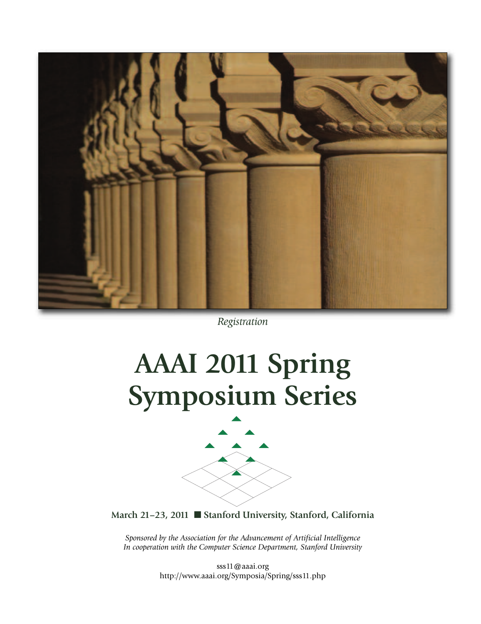

*Registration*

# **AAAI 2011 Spring Symposium Series**



**March 21–23, 2011** n **Stanford University, Stanford, California**

*Sponsored by the Association for the Advancement of Artificial Intelligence In cooperation with the Computer Science Department, Stanford University*

> sss11@aaai.org http://www.aaai.org/Symposia/Spring/sss11.php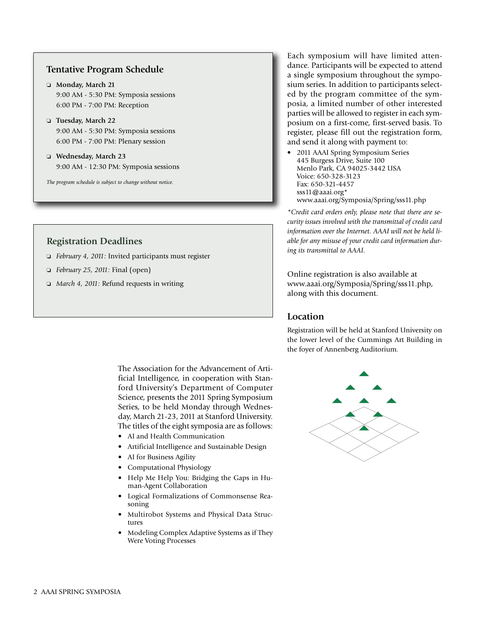# **Tentative Program Schedule**

- o **Monday, March 21** 9:00 AM - 5:30 PM: Symposia sessions 6:00 PM - 7:00 PM: Reception
- o **Tuesday, March 22** 9:00 AM - 5:30 PM: Symposia sessions 6:00 PM - 7:00 PM: Plenary session
- o **Wednesday, March 23** 9:00 AM - 12:30 PM: Symposia sessions

*The program schedule is subject to change without notice.*

# **Registration Deadlines**

- o *February 4, 2011:* Invited participants must register
- o *February 25, 2011:* Final (open)
- o *March 4, 2011:* Refund requests in writing

The Association for the Advancement of Artificial Intelligence, in cooperation with Stanford University's Department of Computer Science, presents the 2011 Spring Symposium Series, to be held Monday through Wednesday, March 21-23, 2011 at Stanford University. The titles of the eight symposia are as follows:

- AI and Health Communication
- Artificial Intelligence and Sustainable Design
- AI for Business Agility
- Computational Physiology
- Help Me Help You: Bridging the Gaps in Human-Agent Collaboration
- Logical Formalizations of Commonsense Reasoning
- Multirobot Systems and Physical Data Structures
- Modeling Complex Adaptive Systems as if They Were Voting Processes

Each symposium will have limited attendance. Participants will be expected to attend a single symposium throughout the symposium series. In addition to participants selected by the program committee of the symposia, a limited number of other interested parties will be allowed to register in each symposium on a first-come, first-served basis. To register, please fill out the registration form, and send it along with payment to:

• 2011 AAAI Spring Symposium Series 445 Burgess Drive, Suite 100 Menlo Park, CA 94025-3442 USA Voice: 650-328-3123 Fax: 650-321-4457 sss11@aaai.org\* www.aaai.org/Symposia/Spring/sss11.php

*\*Credit card orders only, please note that there are security issues involved with the transmittal of credit card information over the Internet. AAAI will not be held liable for any misuse of your credit card information during its transmittal to AAAI.*

Online registration is also available at www.aaai.org/Symposia/Spring/sss11.php, along with this document.

# **Location**

Registration will be held at Stanford University on the lower level of the Cummings Art Building in the foyer of Annenberg Auditorium.

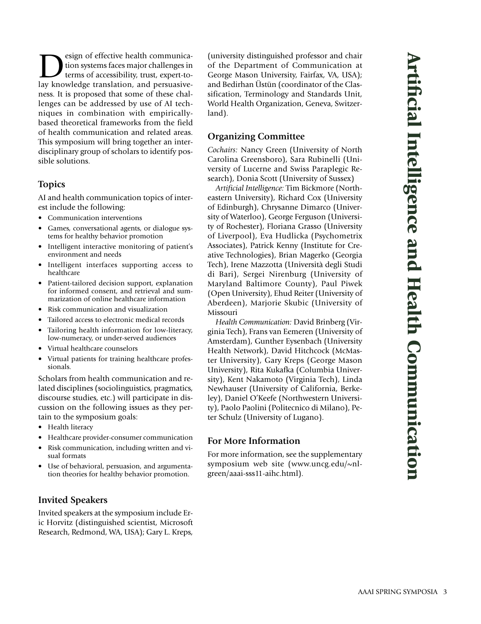$\sum$  esign of effective health communication<br>terms of accessibility, trust, expert-to-<br>lay knowledge translation, and persuasivetion systems faces major challenges in lay knowledge translation, and persuasiveness. It is proposed that some of these challenges can be addressed by use of AI techniques in combination with empiricallybased theoretical frameworks from the field of health communication and related areas. This symposium will bring together an interdisciplinary group of scholars to identify possible solutions.

# **Topics**

AI and health communication topics of interest include the following:

- Communication interventions
- Games, conversational agents, or dialogue systems for healthy behavior promotion
- Intelligent interactive monitoring of patient's environment and needs
- Intelligent interfaces supporting access to healthcare
- Patient-tailored decision support, explanation for informed consent, and retrieval and summarization of online healthcare information
- Risk communication and visualization
- Tailored access to electronic medical records
- Tailoring health information for low-literacy, low-numeracy, or under-served audiences
- Virtual healthcare counselors
- Virtual patients for training healthcare professionals.

Scholars from health communication and related disciplines (sociolinguistics, pragmatics, discourse studies, etc.) will participate in discussion on the following issues as they pertain to the symposium goals:

- Health literacy
- Healthcare provider-consumer communication
- Risk communication, including written and visual formats
- Use of behavioral, persuasion, and argumentation theories for healthy behavior promotion.

# **Invited Speakers**

Invited speakers at the symposium include Eric Horvitz (distinguished scientist, Microsoft Research, Redmond, WA, USA); Gary L. Kreps,

(university distinguished professor and chair of the Department of Communication at George Mason University, Fairfax, VA, USA); and Bedirhan Üstün (coordinator of the Classification, Terminology and Standards Unit, World Health Organization, Geneva, Switzerland).

# **Organizing Committee**

*Cochairs:* Nancy Green (University of North Carolina Greensboro), Sara Rubinelli (University of Lucerne and Swiss Paraplegic Research), Donia Scott (University of Sussex)

*Artificial Intelligence:* Tim Bickmore (Northeastern University), Richard Cox (University of Edinburgh), Chrysanne Dimarco (University of Waterloo), George Ferguson (University of Rochester), Floriana Grasso (University of Liverpool), Eva Hudlicka (Psychometrix Associates), Patrick Kenny (Institute for Creative Technologies), Brian Magerko (Georgia Tech), Irene Mazzotta (Università degli Studi di Bari), Sergei Nirenburg (University of Maryland Baltimore County), Paul Piwek (Open University), Ehud Reiter (University of Aberdeen), Marjorie Skubic (University of Missouri

*Health Communication:* David Brinberg (Virginia Tech), Frans van Eemeren (University of Amsterdam), Gunther Eysenbach (University Health Network), David Hitchcock (McMaster University), Gary Kreps (George Mason University), Rita Kukafka (Columbia University), Kent Nakamoto (Virginia Tech), Linda Newhauser (University of California, Berkeley), Daniel O'Keefe (Northwestern University), Paolo Paolini (Politecnico di Milano), Peter Schulz (University of Lugano).

# **For More Information**

For more information, see the supplementary symposium web site (www.uncg.edu/~nlgreen/aaai-sss11-aihc.html).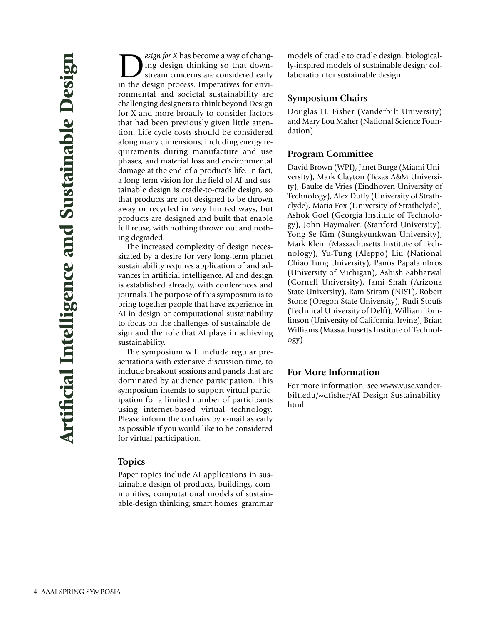*esign for X* has become a way of changing design thinking so that downstream concerns are considered early in the design process. Imperatives for environmental and societal sustainability are challenging designers to think beyond Design for X and more broadly to consider factors that had been previously given little attention. Life cycle costs should be considered along many dimensions; including energy requirements during manufacture and use phases, and material loss and environmental damage at the end of a product's life. In fact, a long-term vision for the field of AI and sustainable design is cradle-to-cradle design, so that products are not designed to be thrown away or recycled in very limited ways, but products are designed and built that enable full reuse, with nothing thrown out and nothing degraded.

The increased complexity of design necessitated by a desire for very long-term planet sustainability requires application of and advances in artificial intelligence. AI and design is established already, with conferences and journals. The purpose of this symposium is to bring together people that have experience in AI in design or computational sustainability to focus on the challenges of sustainable design and the role that AI plays in achieving sustainability.

The symposium will include regular presentations with extensive discussion time, to include breakout sessions and panels that are dominated by audience participation. This symposium intends to support virtual participation for a limited number of participants using internet-based virtual technology. Please inform the cochairs by e-mail as early as possible if you would like to be considered for virtual participation.

#### **Topics**

Paper topics include AI applications in sustainable design of products, buildings, communities; computational models of sustainable-design thinking; smart homes, grammar

models of cradle to cradle design, biologically-inspired models of sustainable design; collaboration for sustainable design.

#### **Symposium Chairs**

Douglas H. Fisher (Vanderbilt University) and Mary Lou Maher (National Science Foundation)

#### **Program Committee**

David Brown (WPI), Janet Burge (Miami University), Mark Clayton (Texas A&M University), Bauke de Vries (Eindhoven University of Technology), Alex Duffy (University of Strathclyde), Maria Fox (University of Strathclyde), Ashok Goel (Georgia Institute of Technology), John Haymaker, (Stanford University), Yong Se Kim (Sungkyunkwan University), Mark Klein (Massachusetts Institute of Technology), Yu-Tung (Aleppo) Liu (National Chiao Tung University), Panos Papalambros (University of Michigan), Ashish Sabharwal (Cornell University), Jami Shah (Arizona State University), Ram Sriram (NIST), Robert Stone (Oregon State University), Rudi Stoufs (Technical University of Delft), William Tomlinson (University of California, Irvine), Brian Williams (Massachusetts Institute of Technology)

# **For More Information**

For more information, see www.vuse.vanderbilt.edu/~dfisher/AI-Design-Sustainability. html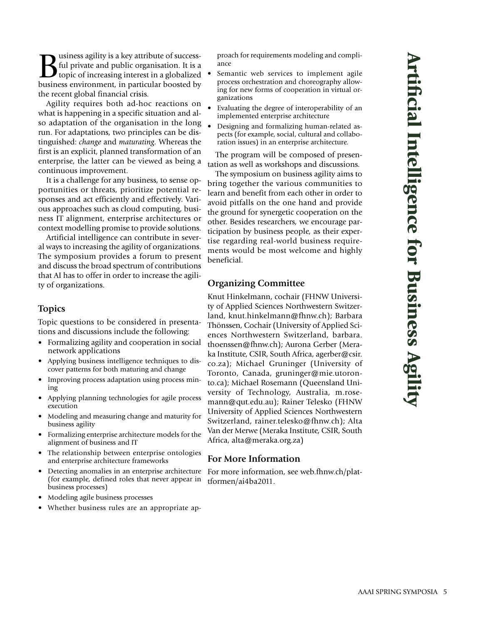**B**usiness agility is a key attribute of success-<br>ful private and public organisation. It is a<br>topic of increasing interest in a globalized<br>business environment, in particular boosted by ful private and public organisation. It is a business environment, in particular boosted by the recent global financial crisis.

Agility requires both ad-hoc reactions on what is happening in a specific situation and also adaptation of the organisation in the long run. For adaptations, two principles can be distinguished: *change* and *maturating.* Whereas the first is an explicit, planned transformation of an enterprise, the latter can be viewed as being a continuous improvement.

It is a challenge for any business, to sense opportunities or threats, prioritize potential responses and act efficiently and effectively. Various approaches such as cloud computing, business IT alignment, enterprise architectures or context modelling promise to provide solutions.

Artificial intelligence can contribute in several ways to increasing the agility of organizations. The symposium provides a forum to present and discuss the broad spectrum of contributions that AI has to offer in order to increase the agility of organizations.

#### **Topics**

Topic questions to be considered in presentations and discussions include the following:

- Formalizing agility and cooperation in social network applications
- Applying business intelligence techniques to discover patterns for both maturing and change
- Improving process adaptation using process mining
- Applying planning technologies for agile process execution
- Modeling and measuring change and maturity for business agility
- Formalizing enterprise architecture models for the alignment of business and IT
- The relationship between enterprise ontologies and enterprise architecture frameworks
- Detecting anomalies in an enterprise architecture (for example, defined roles that never appear in business processes)
- Modeling agile business processes
- Whether business rules are an appropriate ap-

proach for requirements modeling and compliance

- Semantic web services to implement agile process orchestration and choreography allowing for new forms of cooperation in virtual organizations
- Evaluating the degree of interoperability of an implemented enterprise architecture
- Designing and formalizing human-related aspects (for example, social, cultural and collaboration issues) in an enterprise architecture.

The program will be composed of presentation as well as workshops and discussions.

The symposium on business agility aims to bring together the various communities to learn and benefit from each other in order to avoid pitfalls on the one hand and provide the ground for synergetic cooperation on the other. Besides researchers, we encourage participation by business people, as their expertise regarding real-world business requirements would be most welcome and highly beneficial.

# **Organizing Committee**

Knut Hinkelmann, cochair (FHNW University of Applied Sciences Northwestern Switzerland, knut.hinkelmann@fhnw.ch); Barbara Thönssen, Cochair (University of Applied Sciences Northwestern Switzerland, barbara. thoenssen@fhnw.ch); Aurona Gerber (Meraka Institute, CSIR, South Africa, agerber@csir. co.za); Michael Gruninger (University of Toronto, Canada, gruninger@mie.utoronto.ca); Michael Rosemann (Queensland University of Technology, Australia, m.rosemann@qut.edu.au); Rainer Telesko (FHNW University of Applied Sciences Northwestern Switzerland, rainer.telesko@fhnw.ch); Alta Van der Merwe (Meraka Institute, CSIR, South Africa, alta@meraka.org.za)

#### **For More Information**

For more information, see web.fhnw.ch/plattformen/ai4ba2011.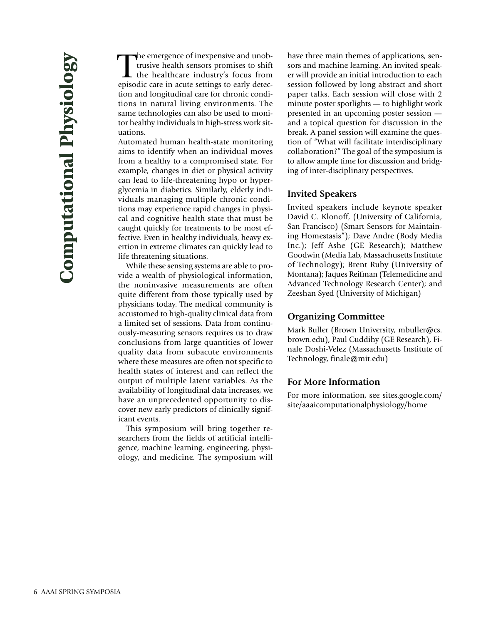The emergence of inexpensive and unob-<br>trusive health sensors promises to shift<br>the healthcare industry's focus from<br>episodic care in acute settings to early deteche emergence of inexpensive and unobtrusive health sensors promises to shift the healthcare industry's focus from tion and longitudinal care for chronic conditions in natural living environments. The same technologies can also be used to monitor healthy individuals in high-stress work situations.

Automated human health-state monitoring aims to identify when an individual moves from a healthy to a compromised state. For example, changes in diet or physical activity can lead to life-threatening hypo or hyperglycemia in diabetics. Similarly, elderly individuals managing multiple chronic conditions may experience rapid changes in physical and cognitive health state that must be caught quickly for treatments to be most effective. Even in healthy individuals, heavy exertion in extreme climates can quickly lead to life threatening situations.

While these sensing systems are able to provide a wealth of physiological information, the noninvasive measurements are often quite different from those typically used by physicians today. The medical community is accustomed to high-quality clinical data from a limited set of sessions. Data from continuously-measuring sensors requires us to draw conclusions from large quantities of lower quality data from subacute environments where these measures are often not specific to health states of interest and can reflect the output of multiple latent variables. As the availability of longitudinal data increases, we have an unprecedented opportunity to discover new early predictors of clinically significant events.

This symposium will bring together researchers from the fields of artificial intelligence, machine learning, engineering, physiology, and medicine. The symposium will have three main themes of applications, sensors and machine learning. An invited speaker will provide an initial introduction to each session followed by long abstract and short paper talks. Each session will close with 2 minute poster spotlights — to highlight work presented in an upcoming poster session and a topical question for discussion in the break. A panel session will examine the question of "What will facilitate interdisciplinary collaboration?" The goal of the symposium is to allow ample time for discussion and bridging of inter-disciplinary perspectives.

# **Invited Speakers**

Invited speakers include keynote speaker David C. Klonoff, (University of California, San Francisco) (Smart Sensors for Maintaining Homestasis"); Dave Andre (Body Media Inc.); Jeff Ashe (GE Research); Matthew Goodwin (Media Lab, Massachusetts Institute of Technology); Brent Ruby (University of Montana); Jaques Reifman (Telemedicine and Advanced Technology Research Center); and Zeeshan Syed (University of Michigan)

# **Organizing Committee**

Mark Buller (Brown University, mbuller@cs. brown.edu), Paul Cuddihy (GE Research), Finale Doshi-Velez (Massachusetts Institute of Technology, finale@mit.edu)

# **For More Information**

For more information, see sites.google.com/ site/aaaicomputationalphysiology/home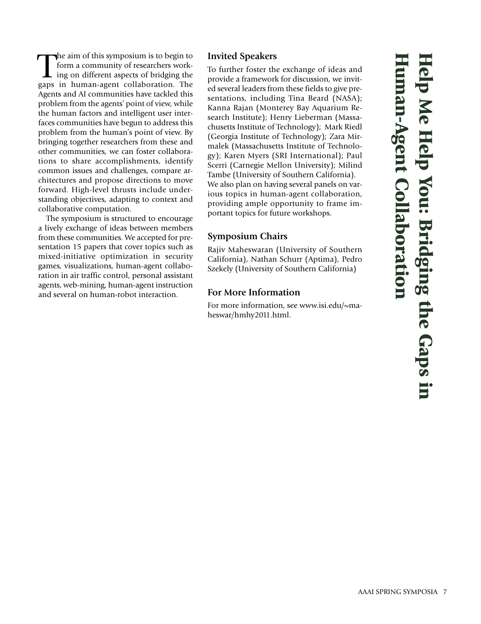The aim of this symposium is to begin to<br>form a community of researchers work-<br>ing on different aspects of bridging the<br>gaps in human-agent collaboration. The he aim of this symposium is to begin to form a community of researchers working on different aspects of bridging the Agents and AI communities have tackled this problem from the agents' point of view, while the human factors and intelligent user interfaces communities have begun to address this problem from the human's point of view. By bringing together researchers from these and other communities, we can foster collaborations to share accomplishments, identify common issues and challenges, compare architectures and propose directions to move forward. High-level thrusts include understanding objectives, adapting to context and collaborative computation.

The symposium is structured to encourage a lively exchange of ideas between members from these communities. We accepted for presentation 15 papers that cover topics such as mixed-initiative optimization in security games, visualizations, human-agent collaboration in air traffic control, personal assistant agents, web-mining, human-agent instruction and several on human-robot interaction.

# **Invited Speakers**

To further foster the exchange of ideas and provide a framework for discussion, we invited several leaders from these fields to give presentations, including Tina Beard (NASA); Kanna Rajan (Monterey Bay Aquarium Research Institute); Henry Lieberman (Massachusetts Institute of Technology); Mark Riedl (Georgia Institute of Technology); Zara Mirmalek (Massachusetts Institute of Technology); Karen Myers (SRI International); Paul Scerri (Carnegie Mellon University); Milind Tambe (University of Southern California). We also plan on having several panels on various topics in human-agent collaboration, providing ample opportunity to frame important topics for future workshops.

# **Symposium Chairs**

Rajiv Maheswaran (University of Southern California), Nathan Schurr (Aptima), Pedro Szekely (University of Southern California)

# **For More Information**

For more information, see www.isi.edu/~maheswar/hmhy2011.html.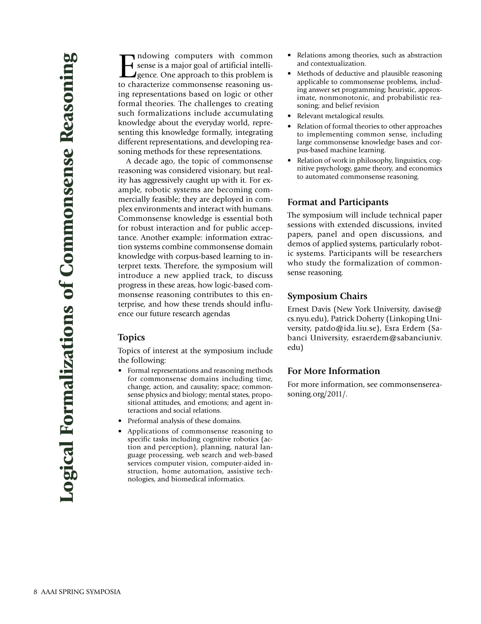Indowing computers with common<br>sense is a major goal of artificial intelli-<br>gence. One approach to this problem is<br>to characterize commonsense reasoning ussense is a major goal of artificial intelli-**I** gence. One approach to this problem is to characterize commonsense reasoning using representations based on logic or other formal theories. The challenges to creating such formalizations include accumulating knowledge about the everyday world, representing this knowledge formally, integrating different representations, and developing reasoning methods for these representations.

A decade ago, the topic of commonsense reasoning was considered visionary, but reality has aggressively caught up with it. For example, robotic systems are becoming commercially feasible; they are deployed in complex environments and interact with humans. Commonsense knowledge is essential both for robust interaction and for public acceptance. Another example: information extraction systems combine commonsense domain knowledge with corpus-based learning to interpret texts. Therefore, the symposium will introduce a new applied track, to discuss progress in these areas, how logic-based commonsense reasoning contributes to this enterprise, and how these trends should influence our future research agendas

#### **Topics**

Topics of interest at the symposium include the following:

- Formal representations and reasoning methods for commonsense domains including time, change, action, and causality; space; commonsense physics and biology; mental states, propositional attitudes, and emotions; and agent interactions and social relations.
- Preformal analysis of these domains.
- Applications of commonsense reasoning to specific tasks including cognitive robotics (action and perception), planning, natural language processing, web search and web-based services computer vision, computer-aided instruction, home automation, assistive technologies, and biomedical informatics.
- Relations among theories, such as abstraction and contextualization.
- Methods of deductive and plausible reasoning applicable to commonsense problems, including answer set programming; heuristic, approximate, nonmonotonic, and probabilistic reasoning; and belief revision
- Relevant metalogical results.
- Relation of formal theories to other approaches to implementing common sense, including large commonsense knowledge bases and corpus-based machine learning.
- Relation of work in philosophy, linguistics, cognitive psychology, game theory, and economics to automated commonsense reasoning.

#### **Format and Participants**

The symposium will include technical paper sessions with extended discussions, invited papers, panel and open discussions, and demos of applied systems, particularly robotic systems. Participants will be researchers who study the formalization of commonsense reasoning.

# **Symposium Chairs**

Ernest Davis (New York University, davise@ cs.nyu.edu), Patrick Doherty (Linkoping University, patdo@ida.liu.se), Esra Erdem (Sabanci University, esraerdem@sabanciuniv. edu)

#### **For More Information**

For more information, see commonsensereasoning.org/2011/.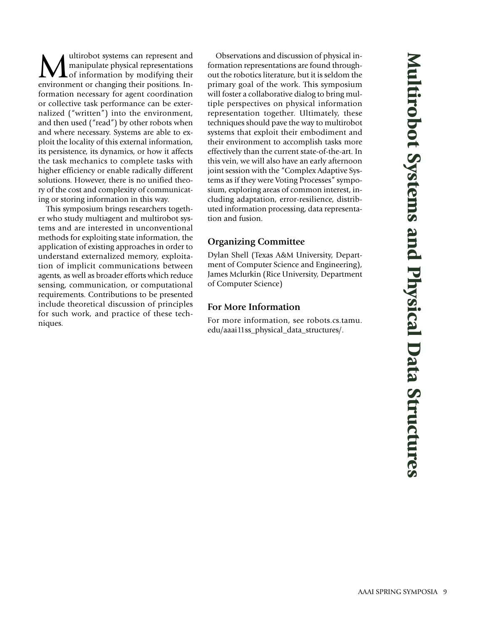ultirobot systems can represent and manipulate physical representations of information by modifying their environment or changing their positions. Information necessary for agent coordination or collective task performance can be externalized ("written") into the environment, and then used ("read") by other robots when and where necessary. Systems are able to exploit the locality of this external information, its persistence, its dynamics, or how it affects the task mechanics to complete tasks with higher efficiency or enable radically different solutions. However, there is no unified theory of the cost and complexity of communicating or storing information in this way.

This symposium brings researchers together who study multiagent and multirobot systems and are interested in unconventional methods for exploiting state information, the application of existing approaches in order to understand externalized memory, exploitation of implicit communications between agents, as well as broader efforts which reduce sensing, communication, or computational requirements. Contributions to be presented include theoretical discussion of principles for such work, and practice of these techniques.

Observations and discussion of physical information representations are found throughout the robotics literature, but it is seldom the primary goal of the work. This symposium will foster a collaborative dialog to bring multiple perspectives on physical information representation together. Ultimately, these techniques should pave the way to multirobot systems that exploit their embodiment and their environment to accomplish tasks more effectively than the current state-of-the-art. In this vein, we will also have an early afternoon joint session with the "Complex Adaptive Systems as if they were Voting Processes" symposium, exploring areas of common interest, including adaptation, error-resilience, distributed information processing, data representation and fusion.

# **Organizing Committee**

Dylan Shell (Texas A&M University, Department of Computer Science and Engineering), James Mclurkin (Rice University, Department of Computer Science)

# **For More Information**

For more information, see robots.cs.tamu. edu/aaai11ss\_physical\_data\_structures/.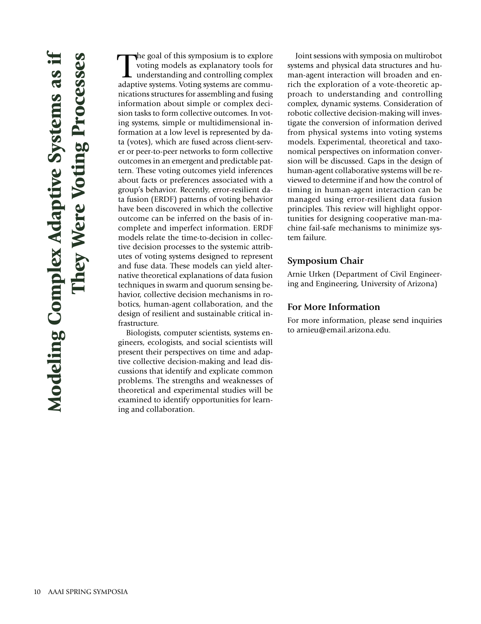The goal of this symposium is to explore voting models as explanatory tools for understanding and controlling complex adaptive systems. Voting systems are commuhe goal of this symposium is to explore voting models as explanatory tools for understanding and controlling complex nications structures for assembling and fusing information about simple or complex decision tasks to form collective outcomes. In voting systems, simple or multidimensional information at a low level is represented by data (votes), which are fused across client-server or peer-to-peer networks to form collective outcomes in an emergent and predictable pattern. These voting outcomes yield inferences about facts or preferences associated with a group's behavior. Recently, error-resilient data fusion (ERDF) patterns of voting behavior have been discovered in which the collective outcome can be inferred on the basis of incomplete and imperfect information. ERDF models relate the time-to-decision in collective decision processes to the systemic attributes of voting systems designed to represent and fuse data. These models can yield alternative theoretical explanations of data fusion techniques in swarm and quorum sensing behavior, collective decision mechanisms in robotics, human-agent collaboration, and the design of resilient and sustainable critical infrastructure.

Biologists, computer scientists, systems engineers, ecologists, and social scientists will present their perspectives on time and adaptive collective decision-making and lead discussions that identify and explicate common problems. The strengths and weaknesses of theoretical and experimental studies will be examined to identify opportunities for learning and collaboration.

Joint sessions with symposia on multirobot systems and physical data structures and human-agent interaction will broaden and enrich the exploration of a vote-theoretic approach to understanding and controlling complex, dynamic systems. Consideration of robotic collective decision-making will investigate the conversion of information derived from physical systems into voting systems models. Experimental, theoretical and taxonomical perspectives on information conversion will be discussed. Gaps in the design of human-agent collaborative systems will be reviewed to determine if and how the control of timing in human-agent interaction can be managed using error-resilient data fusion principles. This review will highlight opportunities for designing cooperative man-machine fail-safe mechanisms to minimize system failure.

### **Symposium Chair**

Arnie Urken (Department of Civil Engineering and Engineering, University of Arizona)

# **For More Information**

For more information, please send inquiries to arnieu@email.arizona.edu.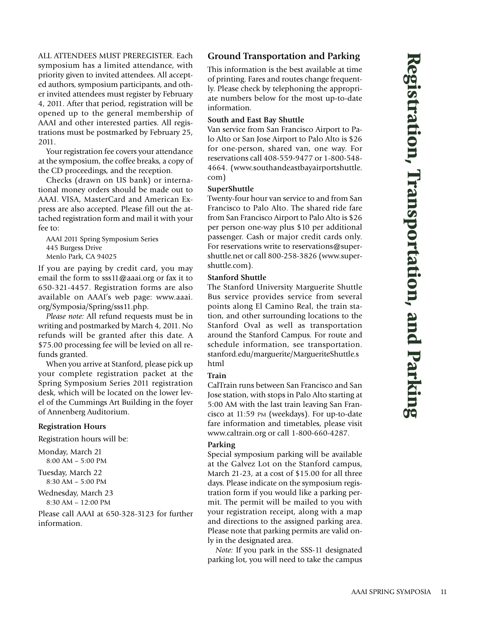**k i n**

**g**

**Re**

ALL ATTENDEES MUST PREREGISTER. Each symposium has a limited attendance, with priority given to invited attendees. All accepted authors, symposium participants, and other invited attendees must register by February 4, 2011. After that period, registration will be opened up to the general membership of AAAI and other interested parties. All registrations must be postmarked by February 25, 2011.

Your registration fee covers your attendance at the symposium, the coffee breaks, a copy of the CD proceedings, and the reception.

Checks (drawn on US bank) or international money orders should be made out to AAAI. VISA, MasterCard and American Express are also accepted. Please fill out the attached registration form and mail it with your fee to:

AAAI 2011 Spring Symposium Series 445 Burgess Drive Menlo Park, CA 94025

If you are paying by credit card, you may email the form to sss11@aaai.org or fax it to 650-321-4457. Registration forms are also available on AAAI's web page: www.aaai. org/Symposia/Spring/sss11.php.

*Please note:* All refund requests must be in writing and postmarked by March 4, 2011. No refunds will be granted after this date. A \$75.00 processing fee will be levied on all refunds granted.

When you arrive at Stanford, please pick up your complete registration packet at the Spring Symposium Series 2011 registration desk, which will be located on the lower level of the Cummings Art Building in the foyer of Annenberg Auditorium.

#### **Registration Hours**

Registration hours will be:

Monday, March 21 8:00 AM – 5:00 PM

Tuesday, March 22 8:30 AM – 5:00 PM

Wednesday, March 23  $8:30$  AM = 12:00 PM

Please call AAAI at 650-328-3123 for further information.

# **Ground Transportation and Parking**

This information is the best available at time of printing. Fares and routes change frequently. Please check by telephoning the appropriate numbers below for the most up-to-date information.

#### **South and East Bay Shuttle**

Van service from San Francisco Airport to Palo Alto or San Jose Airport to Palo Alto is \$26 for one-person, shared van, one way. For reservations call 408-559-9477 or 1-800-548- 4664. (www.southandeastbayairportshuttle. com)

#### **SuperShuttle**

Twenty-four hour van service to and from San Francisco to Palo Alto. The shared ride fare from San Francisco Airport to Palo Alto is \$26 per person one-way plus \$10 per additional passenger. Cash or major credit cards only. For reservations write to reservations@supershuttle.net or call 800-258-3826 (www.supershuttle.com).

#### **Stanford Shuttle**

The Stanford University Marguerite Shuttle Bus service provides service from several points along El Camino Real, the train station, and other surrounding locations to the Stanford Oval as well as transportation around the Stanford Campus. For route and schedule information, see transportation. stanford.edu/marguerite/MargueriteShuttle.s html

#### **Train**

CalTrain runs between San Francisco and San Jose station, with stops in Palo Alto starting at 5:00 AM with the last train leaving San Francisco at 11:59 PM (weekdays). For up-to-date fare information and timetables, please visit www.caltrain.org or call 1-800-660-4287.

#### **Parking**

Special symposium parking will be available at the Galvez Lot on the Stanford campus, March 21-23, at a cost of \$15.00 for all three days. Please indicate on the symposium registration form if you would like a parking permit. The permit will be mailed to you with your registration receipt, along with a map and directions to the assigned parking area. Please note that parking permits are valid only in the designated area.

*Note:* If you park in the SSS-11 designated parking lot, you will need to take the campus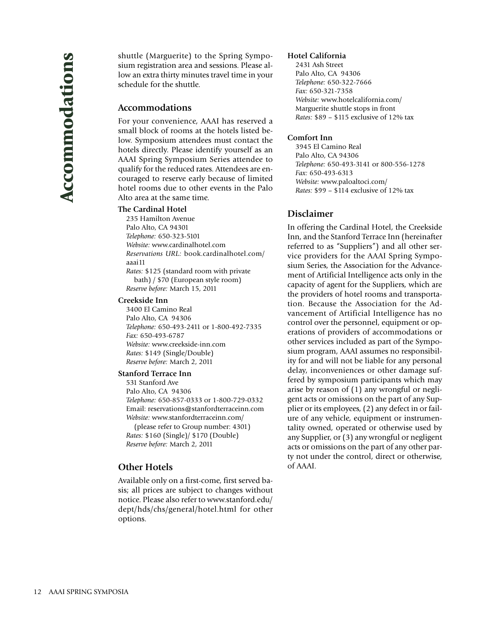shuttle (Marguerite) to the Spring Symposium registration area and sessions. Please allow an extra thirty minutes travel time in your schedule for the shuttle.

# **Accommodations**

For your convenience, AAAI has reserved a small block of rooms at the hotels listed below. Symposium attendees must contact the hotels directly. Please identify yourself as an AAAI Spring Symposium Series attendee to qualify for the reduced rates. Attendees are encouraged to reserve early because of limited hotel rooms due to other events in the Palo Alto area at the same time.

#### **The Cardinal Hotel**

235 Hamilton Avenue Palo Alto, CA 94301 *Telephone:* 650-323-5101 *Website:* www.cardinalhotel.com *Reservations URL:* book.cardinalhotel.com/ aaai11 *Rates:* \$125 (standard room with private bath) / \$70 (European style room) *Reserve before:* March 15, 2011

**Creekside Inn**

3400 El Camino Real Palo Alto, CA 94306 *Telephone:* 650-493-2411 or 1-800-492-7335 *Fax:* 650-493-6787 *Website:* www.creekside-inn.com *Rates:* \$149 (Single/Double) *Reserve before:* March 2, 2011

#### **Stanford Terrace Inn**

531 Stanford Ave Palo Alto, CA 94306 *Telephone:* 650-857-0333 or 1-800-729-0332 Email: reservations@stanfordterraceinn.com *Website:* www.stanfordterraceinn.com/ (please refer to Group number: 4301)

*Rates:* \$160 (Single)/ \$170 (Double) *Reserve before:* March 2, 2011

# **Other Hotels**

Available only on a first-come, first served basis; all prices are subject to changes without notice. Please also refer to www.stanford.edu/ dept/hds/chs/general/hotel.html for other options.

#### **Hotel California**

2431 Ash Street Palo Alto, CA 94306 *Telephone:* 650-322-7666 *Fax:* 650-321-7358 *Website:* www.hotelcalifornia.com/ Marguerite shuttle stops in front *Rates:* \$89 – \$115 exclusive of 12% tax

#### **Comfort Inn**

3945 El Camino Real Palo Alto, CA 94306 *Telephone:* 650-493-3141 or 800-556-1278 *Fax:* 650-493-6313 *Website:* www.paloaltoci.com/ *Rates:* \$99 – \$114 exclusive of 12% tax

# **Disclaimer**

In offering the Cardinal Hotel, the Creekside Inn, and the Stanford Terrace Inn (hereinafter referred to as "Suppliers") and all other service providers for the AAAI Spring Symposium Series, the Association for the Advancement of Artificial Intelligence acts only in the capacity of agent for the Suppliers, which are the providers of hotel rooms and transportation. Because the Association for the Advancement of Artificial Intelligence has no control over the personnel, equipment or operations of providers of accommodations or other services included as part of the Symposium program, AAAI assumes no responsibility for and will not be liable for any personal delay, inconveniences or other damage suffered by symposium participants which may arise by reason of (1) any wrongful or negligent acts or omissions on the part of any Supplier or its employees, (2) any defect in or failure of any vehicle, equipment or instrumentality owned, operated or otherwise used by any Supplier, or (3) any wrongful or negligent acts or omissions on the part of any other party not under the control, direct or otherwise, of AAAI.